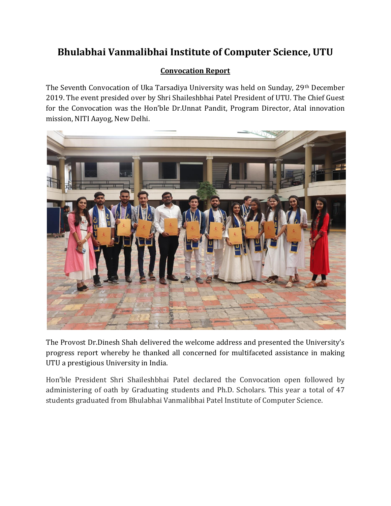## **Bhulabhai Vanmalibhai Institute of Computer Science, UTU**

## **Convocation Report**

The Seventh Convocation of Uka Tarsadiya University was held on Sunday, 29<sup>th</sup> December 2019. The event presided over by Shri Shaileshbhai Patel President of UTU. The Chief Guest for the Convocation was the Hon'ble Dr.Unnat Pandit, Program Director, Atal innovation mission, NITI Aayog, New Delhi.



The Provost Dr.Dinesh Shah delivered the welcome address and presented the University's progress report whereby he thanked all concerned for multifaceted assistance in making UTU a prestigious University in India.

Hon'ble President Shri Shaileshbhai Patel declared the Convocation open followed by administering of oath by Graduating students and Ph.D. Scholars. This year a total of 47 students graduated from Bhulabhai Vanmalibhai Patel Institute of Computer Science.